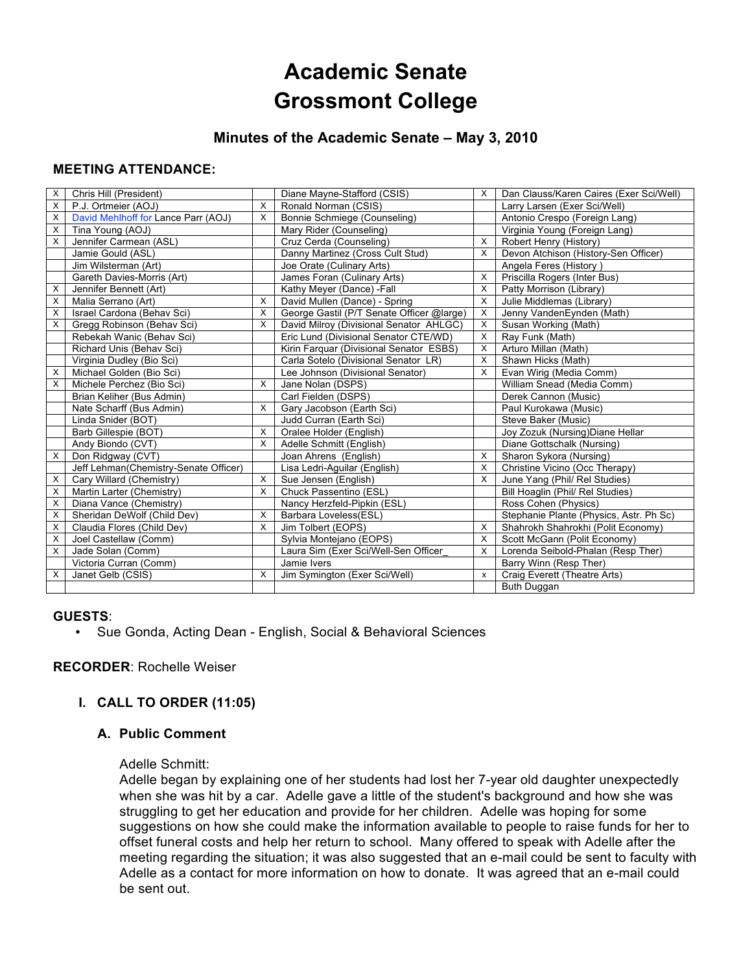# **Academic Senate Grossmont College**

# **Minutes of the Academic Senate – May 3, 2010**

## **MEETING ATTENDANCE:**

| X | Chris Hill (President)                |          | Diane Mayne-Stafford (CSIS)               | X                         | Dan Clauss/Karen Caires (Exer Sci/Well) |
|---|---------------------------------------|----------|-------------------------------------------|---------------------------|-----------------------------------------|
| X | P.J. Ortmeier (AOJ)                   | X        | Ronald Norman (CSIS)                      |                           | Larry Larsen (Exer Sci/Well)            |
| X | David Mehlhoff for Lance Parr (AOJ)   | X        | Bonnie Schmiege (Counseling)              |                           | Antonio Crespo (Foreign Lang)           |
| X | Tina Young (AOJ)                      |          | Mary Rider (Counseling)                   |                           | Virginia Young (Foreign Lang)           |
| X | Jennifer Carmean (ASL)                |          | Cruz Cerda (Counseling)                   | X                         | Robert Henry (History)                  |
|   | Jamie Gould (ASL)                     |          | Danny Martinez (Cross Cult Stud)          | X                         | Devon Atchison (History-Sen Officer)    |
|   | Jim Wilsterman (Art)                  |          | Joe Orate (Culinary Arts)                 |                           | Angela Feres (History)                  |
|   | Gareth Davies-Morris (Art)            |          | James Foran (Culinary Arts)               | X                         | Priscilla Rogers (Inter Bus)            |
| X | Jennifer Bennett (Art)                |          | Kathy Meyer (Dance) - Fall                | X                         | Patty Morrison (Library)                |
| X | Malia Serrano (Art)                   | $\times$ | David Mullen (Dance) - Spring             | X                         | Julie Middlemas (Library)               |
| X | Israel Cardona (Behav Sci)            | X        | George Gastil (P/T Senate Officer @large) | X                         | Jenny VandenEynden (Math)               |
| X | Gregg Robinson (Behav Sci)            | $\times$ | David Milroy (Divisional Senator AHLGC)   | X                         | Susan Working (Math)                    |
|   | Rebekah Wanic (Behav Sci)             |          | Eric Lund (Divisional Senator CTE/WD)     | X                         | Ray Funk (Math)                         |
|   | Richard Unis (Behav Sci)              |          | Kirin Farquar (Divisional Senator ESBS)   | X                         | Arturo Millan (Math)                    |
|   | Virginia Dudley (Bio Sci)             |          | Carla Sotelo (Divisional Senator LR)      | X                         | Shawn Hicks (Math)                      |
| X | Michael Golden (Bio Sci)              |          | Lee Johnson (Divisional Senator)          | X                         | Evan Wirig (Media Comm)                 |
| X | Michele Perchez (Bio Sci)             | X        | Jane Nolan (DSPS)                         |                           | William Snead (Media Comm)              |
|   | Brian Keliher (Bus Admin)             |          | Carl Fielden (DSPS)                       |                           | Derek Cannon (Music)                    |
|   | Nate Scharff (Bus Admin)              | X        | Gary Jacobson (Earth Sci)                 |                           | Paul Kurokawa (Music)                   |
|   | Linda Snider (BOT)                    |          | Judd Curran (Earth Sci)                   |                           | Steve Baker (Music)                     |
|   | Barb Gillespie (BOT)                  | X        | Oralee Holder (English)                   |                           | Joy Zozuk (Nursing) Diane Hellar        |
|   | Andy Biondo (CVT)                     | $\times$ | Adelle Schmitt (English)                  |                           | Diane Gottschalk (Nursing)              |
| X | Don Ridgway (CVT)                     |          | Joan Ahrens (English)                     | X                         | Sharon Sykora (Nursing)                 |
|   | Jeff Lehman(Chemistry-Senate Officer) |          | Lisa Ledri-Aguilar (English)              | X                         | Christine Vicino (Occ Therapy)          |
| Х | Cary Willard (Chemistry)              | X        | Sue Jensen (English)                      | X                         | June Yang (Phil/ Rel Studies)           |
| X | Martin Larter (Chemistry)             | X        | Chuck Passentino (ESL)                    |                           | Bill Hoaglin (Phil/ Rel Studies)        |
| X | Diana Vance (Chemistry)               |          | Nancy Herzfeld-Pipkin (ESL)               |                           | Ross Cohen (Physics)                    |
| X | Sheridan DeWolf (Child Dev)           | $\times$ | Barbara Loveless(ESL)                     |                           | Stephanie Plante (Physics, Astr. Ph Sc) |
| X | Claudia Flores (Child Dev)            | $\times$ | Jim Tolbert (EOPS)                        | X                         | Shahrokh Shahrokhi (Polit Economy)      |
| X | Joel Castellaw (Comm)                 |          | Sylvia Montejano (EOPS)                   | X                         | Scott McGann (Polit Economy)            |
| X | Jade Solan (Comm)                     |          | Laura Sim (Exer Sci/Well-Sen Officer      | X                         | Lorenda Seibold-Phalan (Resp Ther)      |
|   | Victoria Curran (Comm)                |          | Jamie Ivers                               |                           | Barry Winn (Resp Ther)                  |
| X | Janet Gelb (CSIS)                     | $\times$ | Jim Symington (Exer Sci/Well)             | $\boldsymbol{\mathsf{x}}$ | Craig Everett (Theatre Arts)            |
|   |                                       |          |                                           |                           | Buth Duggan                             |

#### **GUESTS**:

• Sue Gonda, Acting Dean - English, Social & Behavioral Sciences

## **RECORDER**: Rochelle Weiser

## **I. CALL TO ORDER (11:05)**

#### **A. Public Comment**

#### Adelle Schmitt:

Adelle began by explaining one of her students had lost her 7-year old daughter unexpectedly when she was hit by a car. Adelle gave a little of the student's background and how she was struggling to get her education and provide for her children. Adelle was hoping for some suggestions on how she could make the information available to people to raise funds for her to offset funeral costs and help her return to school. Many offered to speak with Adelle after the meeting regarding the situation; it was also suggested that an e-mail could be sent to faculty with Adelle as a contact for more information on how to donate. It was agreed that an e-mail could be sent out.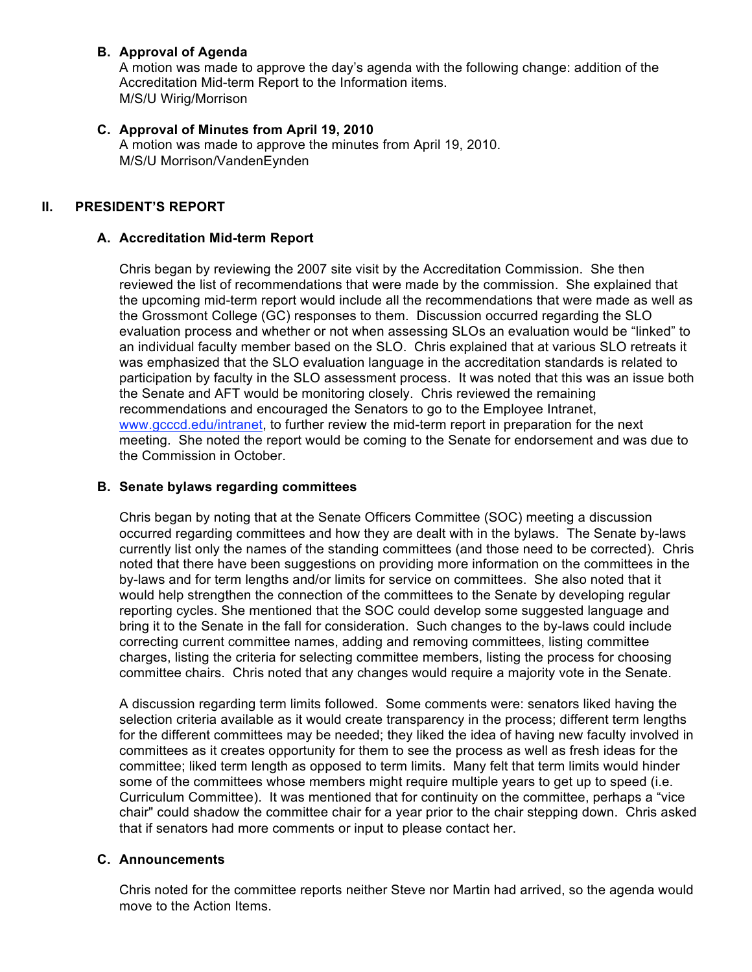## **B. Approval of Agenda**

A motion was made to approve the day's agenda with the following change: addition of the Accreditation Mid-term Report to the Information items. M/S/U Wirig/Morrison

### **C. Approval of Minutes from April 19, 2010**

A motion was made to approve the minutes from April 19, 2010. M/S/U Morrison/VandenEynden

## **II. PRESIDENT'S REPORT**

#### **A. Accreditation Mid-term Report**

Chris began by reviewing the 2007 site visit by the Accreditation Commission. She then reviewed the list of recommendations that were made by the commission. She explained that the upcoming mid-term report would include all the recommendations that were made as well as the Grossmont College (GC) responses to them. Discussion occurred regarding the SLO evaluation process and whether or not when assessing SLOs an evaluation would be "linked" to an individual faculty member based on the SLO. Chris explained that at various SLO retreats it was emphasized that the SLO evaluation language in the accreditation standards is related to participation by faculty in the SLO assessment process. It was noted that this was an issue both the Senate and AFT would be monitoring closely. Chris reviewed the remaining recommendations and encouraged the Senators to go to the Employee Intranet, www.gcccd.edu/intranet, to further review the mid-term report in preparation for the next meeting. She noted the report would be coming to the Senate for endorsement and was due to the Commission in October.

#### **B. Senate bylaws regarding committees**

Chris began by noting that at the Senate Officers Committee (SOC) meeting a discussion occurred regarding committees and how they are dealt with in the bylaws. The Senate by-laws currently list only the names of the standing committees (and those need to be corrected). Chris noted that there have been suggestions on providing more information on the committees in the by-laws and for term lengths and/or limits for service on committees. She also noted that it would help strengthen the connection of the committees to the Senate by developing regular reporting cycles. She mentioned that the SOC could develop some suggested language and bring it to the Senate in the fall for consideration. Such changes to the by-laws could include correcting current committee names, adding and removing committees, listing committee charges, listing the criteria for selecting committee members, listing the process for choosing committee chairs. Chris noted that any changes would require a majority vote in the Senate.

A discussion regarding term limits followed. Some comments were: senators liked having the selection criteria available as it would create transparency in the process; different term lengths for the different committees may be needed; they liked the idea of having new faculty involved in committees as it creates opportunity for them to see the process as well as fresh ideas for the committee; liked term length as opposed to term limits. Many felt that term limits would hinder some of the committees whose members might require multiple years to get up to speed (i.e. Curriculum Committee). It was mentioned that for continuity on the committee, perhaps a "vice chair" could shadow the committee chair for a year prior to the chair stepping down. Chris asked that if senators had more comments or input to please contact her.

#### **C. Announcements**

Chris noted for the committee reports neither Steve nor Martin had arrived, so the agenda would move to the Action Items.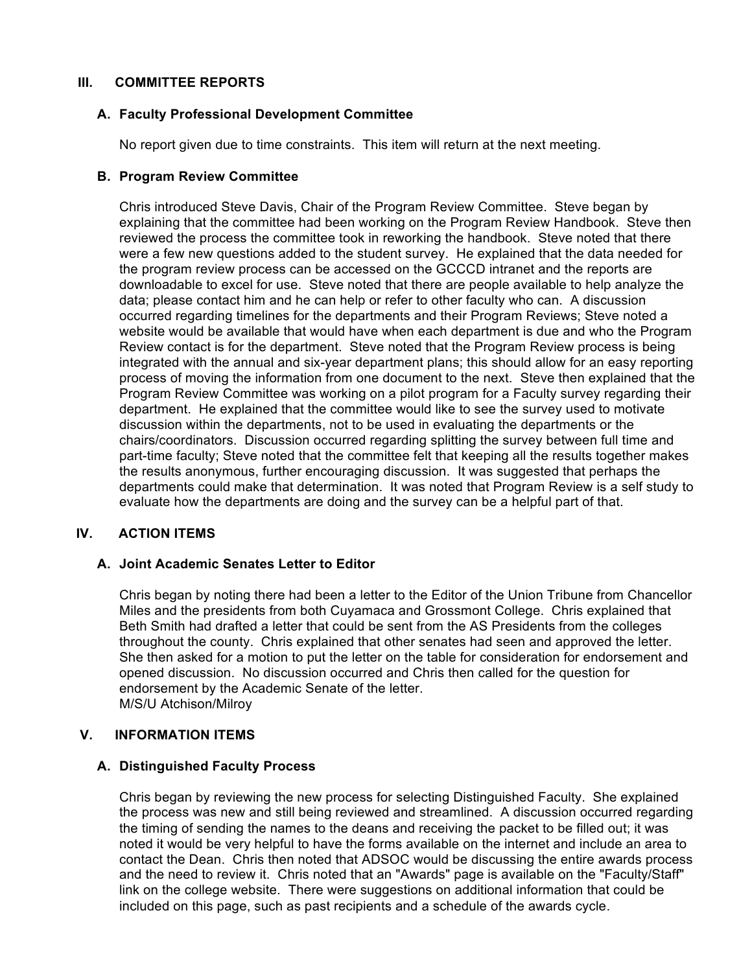#### **III. COMMITTEE REPORTS**

#### **A. Faculty Professional Development Committee**

No report given due to time constraints. This item will return at the next meeting.

#### **B. Program Review Committee**

Chris introduced Steve Davis, Chair of the Program Review Committee. Steve began by explaining that the committee had been working on the Program Review Handbook. Steve then reviewed the process the committee took in reworking the handbook. Steve noted that there were a few new questions added to the student survey. He explained that the data needed for the program review process can be accessed on the GCCCD intranet and the reports are downloadable to excel for use. Steve noted that there are people available to help analyze the data; please contact him and he can help or refer to other faculty who can. A discussion occurred regarding timelines for the departments and their Program Reviews; Steve noted a website would be available that would have when each department is due and who the Program Review contact is for the department. Steve noted that the Program Review process is being integrated with the annual and six-year department plans; this should allow for an easy reporting process of moving the information from one document to the next. Steve then explained that the Program Review Committee was working on a pilot program for a Faculty survey regarding their department. He explained that the committee would like to see the survey used to motivate discussion within the departments, not to be used in evaluating the departments or the chairs/coordinators. Discussion occurred regarding splitting the survey between full time and part-time faculty; Steve noted that the committee felt that keeping all the results together makes the results anonymous, further encouraging discussion. It was suggested that perhaps the departments could make that determination. It was noted that Program Review is a self study to evaluate how the departments are doing and the survey can be a helpful part of that.

#### **IV. ACTION ITEMS**

#### **A. Joint Academic Senates Letter to Editor**

Chris began by noting there had been a letter to the Editor of the Union Tribune from Chancellor Miles and the presidents from both Cuyamaca and Grossmont College. Chris explained that Beth Smith had drafted a letter that could be sent from the AS Presidents from the colleges throughout the county. Chris explained that other senates had seen and approved the letter. She then asked for a motion to put the letter on the table for consideration for endorsement and opened discussion. No discussion occurred and Chris then called for the question for endorsement by the Academic Senate of the letter. M/S/U Atchison/Milroy

#### **V. INFORMATION ITEMS**

#### **A. Distinguished Faculty Process**

Chris began by reviewing the new process for selecting Distinguished Faculty. She explained the process was new and still being reviewed and streamlined. A discussion occurred regarding the timing of sending the names to the deans and receiving the packet to be filled out; it was noted it would be very helpful to have the forms available on the internet and include an area to contact the Dean. Chris then noted that ADSOC would be discussing the entire awards process and the need to review it. Chris noted that an "Awards" page is available on the "Faculty/Staff" link on the college website. There were suggestions on additional information that could be included on this page, such as past recipients and a schedule of the awards cycle.